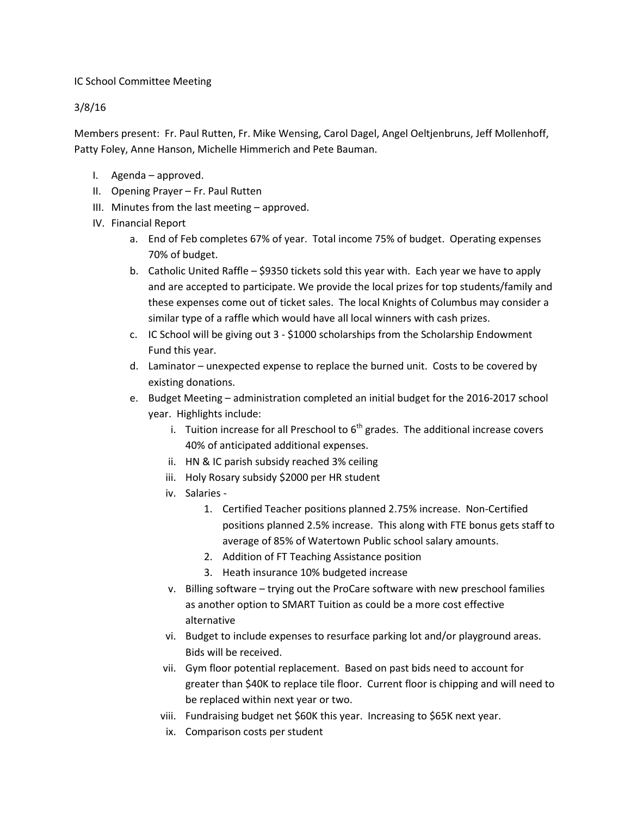## IC School Committee Meeting

## 3/8/16

Members present: Fr. Paul Rutten, Fr. Mike Wensing, Carol Dagel, Angel Oeltjenbruns, Jeff Mollenhoff, Patty Foley, Anne Hanson, Michelle Himmerich and Pete Bauman.

- I. Agenda approved.
- II. Opening Prayer Fr. Paul Rutten
- III. Minutes from the last meeting approved.
- IV. Financial Report
	- a. End of Feb completes 67% of year. Total income 75% of budget. Operating expenses 70% of budget.
	- b. Catholic United Raffle \$9350 tickets sold this year with. Each year we have to apply and are accepted to participate. We provide the local prizes for top students/family and these expenses come out of ticket sales. The local Knights of Columbus may consider a similar type of a raffle which would have all local winners with cash prizes.
	- c. IC School will be giving out 3 \$1000 scholarships from the Scholarship Endowment Fund this year.
	- d. Laminator unexpected expense to replace the burned unit. Costs to be covered by existing donations.
	- e. Budget Meeting administration completed an initial budget for the 2016-2017 school year. Highlights include:
		- i. Tuition increase for all Preschool to  $6<sup>th</sup>$  grades. The additional increase covers 40% of anticipated additional expenses.
		- ii. HN & IC parish subsidy reached 3% ceiling
		- iii. Holy Rosary subsidy \$2000 per HR student
		- iv. Salaries
			- 1. Certified Teacher positions planned 2.75% increase. Non-Certified positions planned 2.5% increase. This along with FTE bonus gets staff to average of 85% of Watertown Public school salary amounts.
			- 2. Addition of FT Teaching Assistance position
			- 3. Heath insurance 10% budgeted increase
		- v. Billing software trying out the ProCare software with new preschool families as another option to SMART Tuition as could be a more cost effective alternative
		- vi. Budget to include expenses to resurface parking lot and/or playground areas. Bids will be received.
		- vii. Gym floor potential replacement. Based on past bids need to account for greater than \$40K to replace tile floor. Current floor is chipping and will need to be replaced within next year or two.
		- viii. Fundraising budget net \$60K this year. Increasing to \$65K next year.
		- ix. Comparison costs per student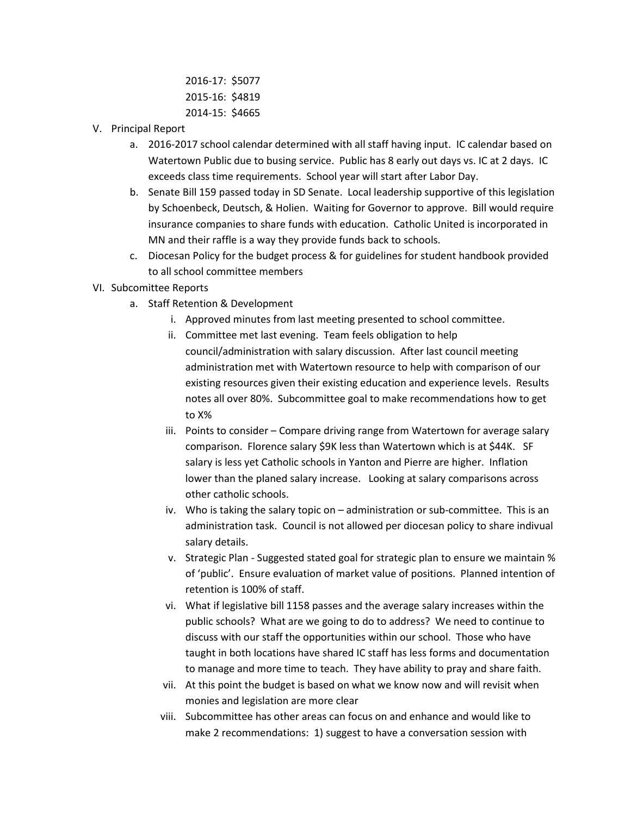2016-17: \$5077 2015-16: \$4819 2014-15: \$4665

- V. Principal Report
	- a. 2016-2017 school calendar determined with all staff having input. IC calendar based on Watertown Public due to busing service. Public has 8 early out days vs. IC at 2 days. IC exceeds class time requirements. School year will start after Labor Day.
	- b. Senate Bill 159 passed today in SD Senate. Local leadership supportive of this legislation by Schoenbeck, Deutsch, & Holien. Waiting for Governor to approve. Bill would require insurance companies to share funds with education. Catholic United is incorporated in MN and their raffle is a way they provide funds back to schools.
	- c. Diocesan Policy for the budget process & for guidelines for student handbook provided to all school committee members
- VI. Subcomittee Reports
	- a. Staff Retention & Development
		- i. Approved minutes from last meeting presented to school committee.
		- ii. Committee met last evening. Team feels obligation to help council/administration with salary discussion. After last council meeting administration met with Watertown resource to help with comparison of our existing resources given their existing education and experience levels. Results notes all over 80%. Subcommittee goal to make recommendations how to get to X%
		- iii. Points to consider Compare driving range from Watertown for average salary comparison. Florence salary \$9K less than Watertown which is at \$44K. SF salary is less yet Catholic schools in Yanton and Pierre are higher. Inflation lower than the planed salary increase. Looking at salary comparisons across other catholic schools.
		- iv. Who is taking the salary topic on administration or sub-committee. This is an administration task. Council is not allowed per diocesan policy to share indivual salary details.
		- v. Strategic Plan Suggested stated goal for strategic plan to ensure we maintain % of 'public'. Ensure evaluation of market value of positions. Planned intention of retention is 100% of staff.
		- vi. What if legislative bill 1158 passes and the average salary increases within the public schools? What are we going to do to address? We need to continue to discuss with our staff the opportunities within our school. Those who have taught in both locations have shared IC staff has less forms and documentation to manage and more time to teach. They have ability to pray and share faith.
		- vii. At this point the budget is based on what we know now and will revisit when monies and legislation are more clear
		- viii. Subcommittee has other areas can focus on and enhance and would like to make 2 recommendations: 1) suggest to have a conversation session with